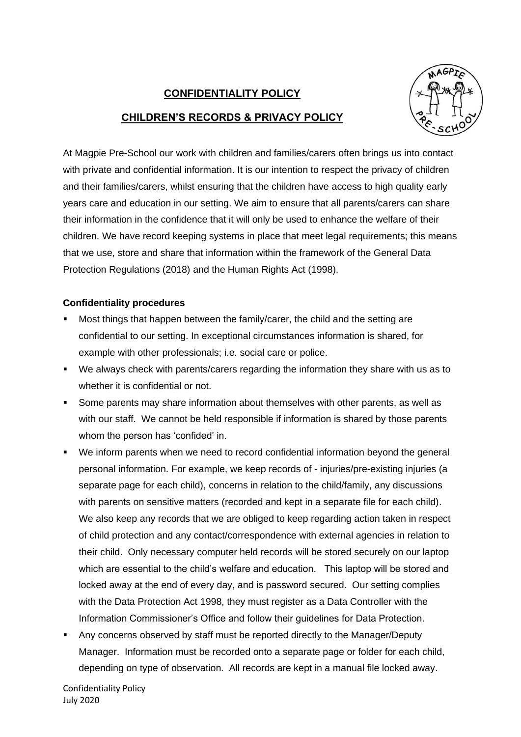## **CONFIDENTIALITY POLICY CHILDREN'S RECORDS & PRIVACY POLICY**



At Magpie Pre-School our work with children and families/carers often brings us into contact with private and confidential information. It is our intention to respect the privacy of children and their families/carers, whilst ensuring that the children have access to high quality early years care and education in our setting. We aim to ensure that all parents/carers can share their information in the confidence that it will only be used to enhance the welfare of their children. We have record keeping systems in place that meet legal requirements; this means that we use, store and share that information within the framework of the General Data Protection Regulations (2018) and the Human Rights Act (1998).

## **Confidentiality procedures**

- Most things that happen between the family/carer, the child and the setting are confidential to our setting. In exceptional circumstances information is shared, for example with other professionals; i.e. social care or police.
- We always check with parents/carers regarding the information they share with us as to whether it is confidential or not.
- Some parents may share information about themselves with other parents, as well as with our staff. We cannot be held responsible if information is shared by those parents whom the person has 'confided' in.
- We inform parents when we need to record confidential information beyond the general personal information. For example, we keep records of - injuries/pre-existing injuries (a separate page for each child), concerns in relation to the child/family, any discussions with parents on sensitive matters (recorded and kept in a separate file for each child). We also keep any records that we are obliged to keep regarding action taken in respect of child protection and any contact/correspondence with external agencies in relation to their child. Only necessary computer held records will be stored securely on our laptop which are essential to the child's welfare and education. This laptop will be stored and locked away at the end of every day, and is password secured. Our setting complies with the Data Protection Act 1998, they must register as a Data Controller with the Information Commissioner's Office and follow their guidelines for Data Protection.
- Any concerns observed by staff must be reported directly to the Manager/Deputy Manager. Information must be recorded onto a separate page or folder for each child, depending on type of observation. All records are kept in a manual file locked away.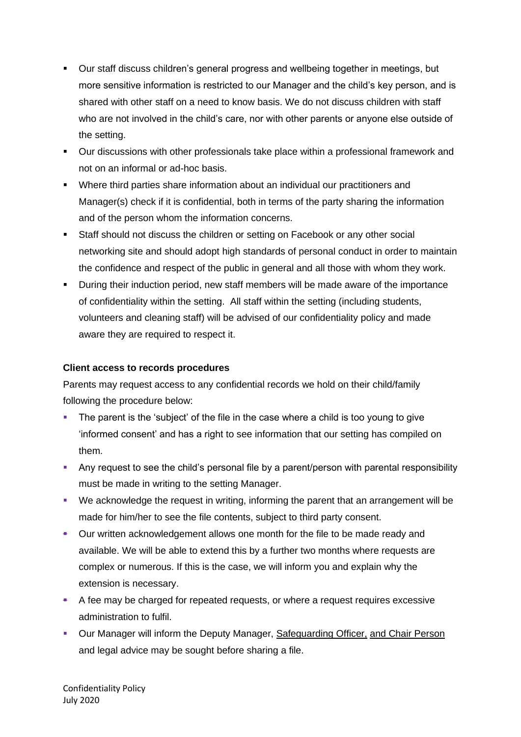- Our staff discuss children's general progress and wellbeing together in meetings, but more sensitive information is restricted to our Manager and the child's key person, and is shared with other staff on a need to know basis. We do not discuss children with staff who are not involved in the child's care, nor with other parents or anyone else outside of the setting.
- Our discussions with other professionals take place within a professional framework and not on an informal or ad-hoc basis.
- Where third parties share information about an individual our practitioners and Manager(s) check if it is confidential, both in terms of the party sharing the information and of the person whom the information concerns.
- Staff should not discuss the children or setting on Facebook or any other social networking site and should adopt high standards of personal conduct in order to maintain the confidence and respect of the public in general and all those with whom they work.
- During their induction period, new staff members will be made aware of the importance of confidentiality within the setting. All staff within the setting (including students, volunteers and cleaning staff) will be advised of our confidentiality policy and made aware they are required to respect it.

## **Client access to records procedures**

Parents may request access to any confidential records we hold on their child/family following the procedure below:

- The parent is the 'subject' of the file in the case where a child is too young to give 'informed consent' and has a right to see information that our setting has compiled on them.
- Any request to see the child's personal file by a parent/person with parental responsibility must be made in writing to the setting Manager.
- We acknowledge the request in writing, informing the parent that an arrangement will be made for him/her to see the file contents, subject to third party consent.
- Our written acknowledgement allows one month for the file to be made ready and available. We will be able to extend this by a further two months where requests are complex or numerous. If this is the case, we will inform you and explain why the extension is necessary.
- A fee may be charged for repeated requests, or where a request requires excessive administration to fulfil.
- Our Manager will inform the Deputy Manager, Safeguarding Officer, and Chair Person and legal advice may be sought before sharing a file.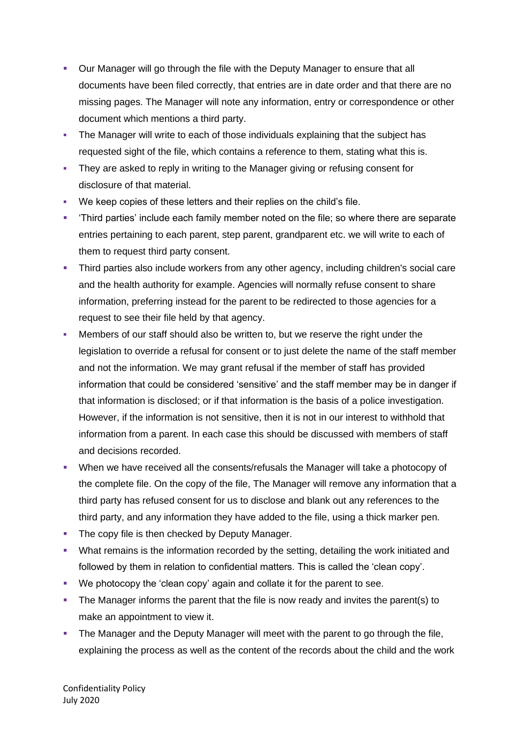- Our Manager will go through the file with the Deputy Manager to ensure that all documents have been filed correctly, that entries are in date order and that there are no missing pages. The Manager will note any information, entry or correspondence or other document which mentions a third party.
- **The Manager will write to each of those individuals explaining that the subject has** requested sight of the file, which contains a reference to them, stating what this is.
- **They are asked to reply in writing to the Manager giving or refusing consent for** disclosure of that material.
- We keep copies of these letters and their replies on the child's file.
- 'Third parties' include each family member noted on the file; so where there are separate entries pertaining to each parent, step parent, grandparent etc. we will write to each of them to request third party consent.
- **•** Third parties also include workers from any other agency, including children's social care and the health authority for example. Agencies will normally refuse consent to share information, preferring instead for the parent to be redirected to those agencies for a request to see their file held by that agency.
- Members of our staff should also be written to, but we reserve the right under the legislation to override a refusal for consent or to just delete the name of the staff member and not the information. We may grant refusal if the member of staff has provided information that could be considered 'sensitive' and the staff member may be in danger if that information is disclosed; or if that information is the basis of a police investigation. However, if the information is not sensitive, then it is not in our interest to withhold that information from a parent. In each case this should be discussed with members of staff and decisions recorded.
- When we have received all the consents/refusals the Manager will take a photocopy of the complete file. On the copy of the file, The Manager will remove any information that a third party has refused consent for us to disclose and blank out any references to the third party, and any information they have added to the file, using a thick marker pen.
- **The copy file is then checked by Deputy Manager.**
- What remains is the information recorded by the setting, detailing the work initiated and followed by them in relation to confidential matters. This is called the 'clean copy'.
- We photocopy the 'clean copy' again and collate it for the parent to see.
- **•** The Manager informs the parent that the file is now ready and invites the parent(s) to make an appointment to view it.
- **The Manager and the Deputy Manager will meet with the parent to go through the file,** explaining the process as well as the content of the records about the child and the work